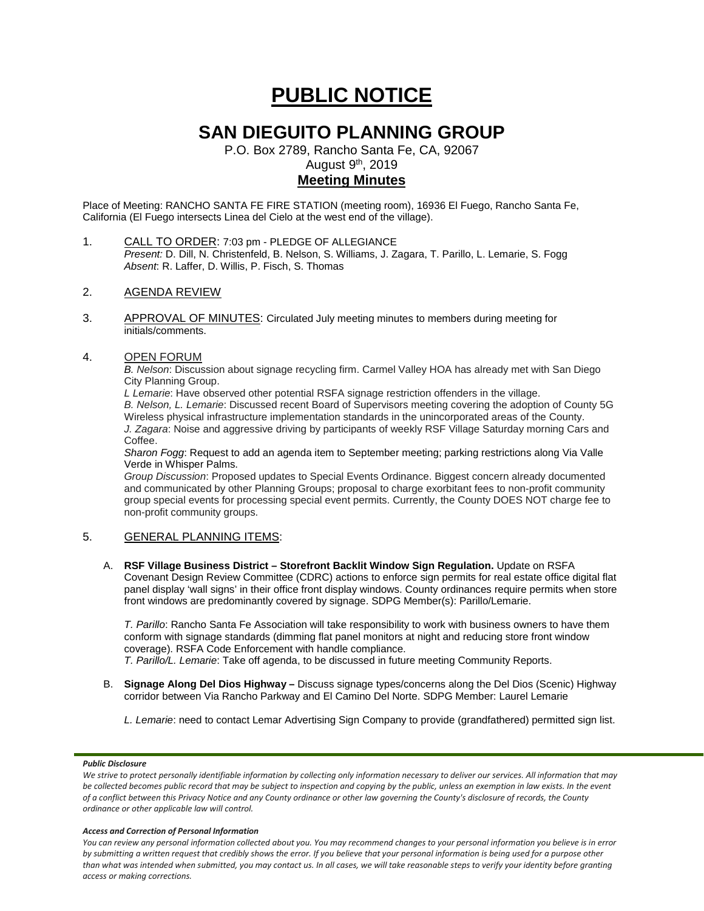# **PUBLIC NOTICE**

# **SAN DIEGUITO PLANNING GROUP**

P.O. Box 2789, Rancho Santa Fe, CA, 92067

August 9th, 2019

# **Meeting Minutes**

Place of Meeting: RANCHO SANTA FE FIRE STATION (meeting room), 16936 El Fuego, Rancho Santa Fe, California (El Fuego intersects Linea del Cielo at the west end of the village).

- 1. CALL TO ORDER: 7:03 pm PLEDGE OF ALLEGIANCE *Present:* D. Dill, N. Christenfeld, B. Nelson, S. Williams, J. Zagara, T. Parillo, L. Lemarie, S. Fogg *Absent*: R. Laffer, D. Willis, P. Fisch, S. Thomas
- 2. AGENDA REVIEW
- 3. APPROVAL OF MINUTES: Circulated July meeting minutes to members during meeting for initials/comments.

# 4. OPEN FORUM

*B. Nelson*: Discussion about signage recycling firm. Carmel Valley HOA has already met with San Diego City Planning Group.

*L Lemarie*: Have observed other potential RSFA signage restriction offenders in the village. *B. Nelson, L. Lemarie*: Discussed recent Board of Supervisors meeting covering the adoption of County 5G Wireless physical infrastructure implementation standards in the unincorporated areas of the County. *J. Zagara*: Noise and aggressive driving by participants of weekly RSF Village Saturday morning Cars and Coffee.

*Sharon Fogg*: Request to add an agenda item to September meeting; parking restrictions along Via Valle Verde in Whisper Palms.

*Group Discussion*: Proposed updates to Special Events Ordinance. Biggest concern already documented and communicated by other Planning Groups; proposal to charge exorbitant fees to non-profit community group special events for processing special event permits. Currently, the County DOES NOT charge fee to non-profit community groups.

# 5. GENERAL PLANNING ITEMS:

A. **RSF Village Business District – Storefront Backlit Window Sign Regulation.** Update on RSFA Covenant Design Review Committee (CDRC) actions to enforce sign permits for real estate office digital flat panel display 'wall signs' in their office front display windows. County ordinances require permits when store front windows are predominantly covered by signage. SDPG Member(s): Parillo/Lemarie.

*T. Parillo*: Rancho Santa Fe Association will take responsibility to work with business owners to have them conform with signage standards (dimming flat panel monitors at night and reducing store front window coverage). RSFA Code Enforcement with handle compliance.

*T. Parillo/L. Lemarie*: Take off agenda, to be discussed in future meeting Community Reports.

- B. **Signage Along Del Dios Highway –** Discuss signage types/concerns along the Del Dios (Scenic) Highway corridor between Via Rancho Parkway and El Camino Del Norte. SDPG Member: Laurel Lemarie
	- *L. Lemarie*: need to contact Lemar Advertising Sign Company to provide (grandfathered) permitted sign list.

### *Public Disclosure*

#### *Access and Correction of Personal Information*

*You can review any personal information collected about you. You may recommend changes to your personal information you believe is in error by submitting a written request that credibly shows the error. If you believe that your personal information is being used for a purpose other than what was intended when submitted, you may contact us. In all cases, we will take reasonable steps to verify your identity before granting access or making corrections.*

We strive to protect personally identifiable information by collecting only information necessary to deliver our services. All information that may *be collected becomes public record that may be subject to inspection and copying by the public, unless an exemption in law exists. In the event of a conflict between this Privacy Notice and any County ordinance or other law governing the County's disclosure of records, the County ordinance or other applicable law will control.*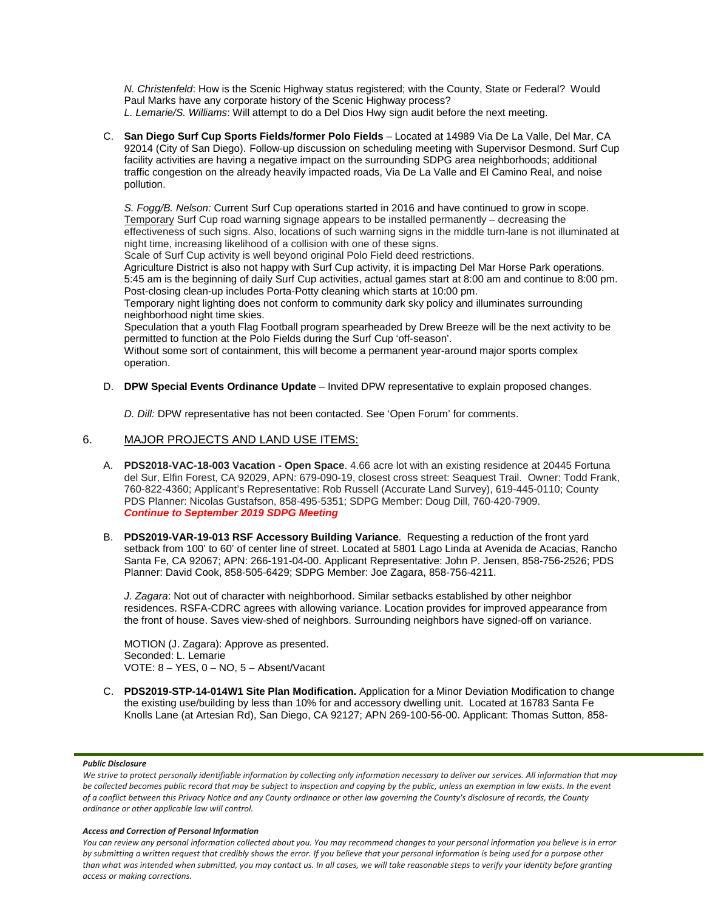*N. Christenfeld*: How is the Scenic Highway status registered; with the County, State or Federal? Would Paul Marks have any corporate history of the Scenic Highway process? *L. Lemarie/S. Williams*: Will attempt to do a Del Dios Hwy sign audit before the next meeting.

C. **San Diego Surf Cup Sports Fields/former Polo Fields** – Located at 14989 Via De La Valle, Del Mar, CA 92014 (City of San Diego). Follow-up discussion on scheduling meeting with Supervisor Desmond. Surf Cup facility activities are having a negative impact on the surrounding SDPG area neighborhoods; additional traffic congestion on the already heavily impacted roads, Via De La Valle and El Camino Real, and noise pollution.

*S. Fogg/B. Nelson:* Current Surf Cup operations started in 2016 and have continued to grow in scope. Temporary Surf Cup road warning signage appears to be installed permanently – decreasing the effectiveness of such signs. Also, locations of such warning signs in the middle turn-lane is not illuminated at night time, increasing likelihood of a collision with one of these signs.

Scale of Surf Cup activity is well beyond original Polo Field deed restrictions.

Agriculture District is also not happy with Surf Cup activity, it is impacting Del Mar Horse Park operations. 5:45 am is the beginning of daily Surf Cup activities, actual games start at 8:00 am and continue to 8:00 pm. Post-closing clean-up includes Porta-Potty cleaning which starts at 10:00 pm.

Temporary night lighting does not conform to community dark sky policy and illuminates surrounding neighborhood night time skies.

Speculation that a youth Flag Football program spearheaded by Drew Breeze will be the next activity to be permitted to function at the Polo Fields during the Surf Cup 'off-season'.

Without some sort of containment, this will become a permanent year-around major sports complex operation.

D. **DPW Special Events Ordinance Update** – Invited DPW representative to explain proposed changes.

*D. Dill:* DPW representative has not been contacted. See 'Open Forum' for comments.

# 6. MAJOR PROJECTS AND LAND USE ITEMS:

- A. **PDS2018-VAC-18-003 Vacation - Open Space**. 4.66 acre lot with an existing residence at 20445 Fortuna del Sur, Elfin Forest, CA 92029, APN: 679-090-19, closest cross street: Seaquest Trail. Owner: Todd Frank, 760-822-4360; Applicant's Representative: Rob Russell (Accurate Land Survey), 619-445-0110; County PDS Planner: Nicolas Gustafson, 858-495-5351; SDPG Member: Doug Dill, 760-420-7909. *Continue to September 2019 SDPG Meeting*
- B. **PDS2019-VAR-19-013 RSF Accessory Building Variance**. Requesting a reduction of the front yard setback from 100' to 60' of center line of street. Located at 5801 Lago Linda at Avenida de Acacias, Rancho Santa Fe, CA 92067; APN: 266-191-04-00. Applicant Representative: John P. Jensen, 858-756-2526; PDS Planner: David Cook, 858-505-6429; SDPG Member: Joe Zagara, 858-756-4211.

*J. Zagara*: Not out of character with neighborhood. Similar setbacks established by other neighbor residences. RSFA-CDRC agrees with allowing variance. Location provides for improved appearance from the front of house. Saves view-shed of neighbors. Surrounding neighbors have signed-off on variance.

MOTION (J. Zagara): Approve as presented. Seconded: L. Lemarie VOTE: 8 – YES, 0 – NO, 5 – Absent/Vacant

C. **PDS2019-STP-14-014W1 Site Plan Modification.** Application for a Minor Deviation Modification to change the existing use/building by less than 10% for and accessory dwelling unit. Located at 16783 Santa Fe Knolls Lane (at Artesian Rd), San Diego, CA 92127; APN 269-100-56-00. Applicant: Thomas Sutton, 858-

### *Public Disclosure*

#### *Access and Correction of Personal Information*

*You can review any personal information collected about you. You may recommend changes to your personal information you believe is in error by submitting a written request that credibly shows the error. If you believe that your personal information is being used for a purpose other than what was intended when submitted, you may contact us. In all cases, we will take reasonable steps to verify your identity before granting access or making corrections.*

We strive to protect personally identifiable information by collecting only information necessary to deliver our services. All information that may *be collected becomes public record that may be subject to inspection and copying by the public, unless an exemption in law exists. In the event of a conflict between this Privacy Notice and any County ordinance or other law governing the County's disclosure of records, the County ordinance or other applicable law will control.*